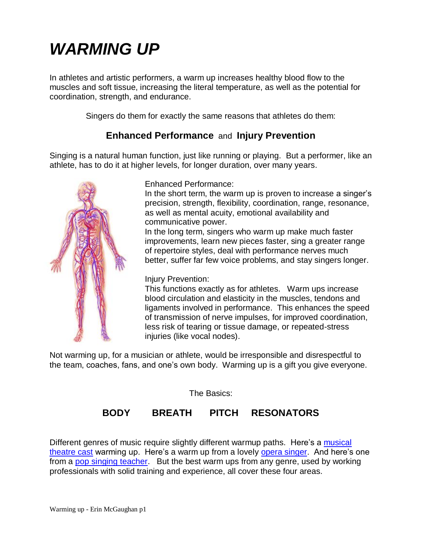# *WARMING UP*

In athletes and artistic performers, a warm up increases healthy blood flow to the muscles and soft tissue, increasing the literal temperature, as well as the potential for coordination, strength, and endurance.

Singers do them for exactly the same reasons that athletes do them:

# **Enhanced Performance** and **Injury Prevention**

Singing is a natural human function, just like running or playing. But a performer, like an athlete, has to do it at higher levels, for longer duration, over many years.



Enhanced Performance:

In the short term, the warm up is proven to increase a singer's precision, strength, flexibility, coordination, range, resonance, as well as mental acuity, emotional availability and communicative power.

In the long term, singers who warm up make much faster improvements, learn new pieces faster, sing a greater range of repertoire styles, deal with performance nerves much better, suffer far few voice problems, and stay singers longer.

## Injury Prevention:

This functions exactly as for athletes. Warm ups increase blood circulation and elasticity in the muscles, tendons and ligaments involved in performance. This enhances the speed of transmission of nerve impulses, for improved coordination, less risk of tearing or tissue damage, or repeated-stress injuries (like vocal nodes).

Not warming up, for a musician or athlete, would be irresponsible and disrespectful to the team, coaches, fans, and one's own body. Warming up is a gift you give everyone.

The Basics:

# **BODY BREATH PITCH RESONATORS**

Different genres of music require slightly different warmup paths. Here's a musical [theatre cast](https://www.youtube.com/watch?v=q55-qZlfWnk) warming up. Here's a warm up from a lovely [opera singer.](https://www.youtube.com/watch?v=2Rmjmaic5d0) And here's one from a [pop singing teacher.](https://www.youtube.com/watch?v=Q5hS7eukUbQ) But the best warm ups from any genre, used by working professionals with solid training and experience, all cover these four areas.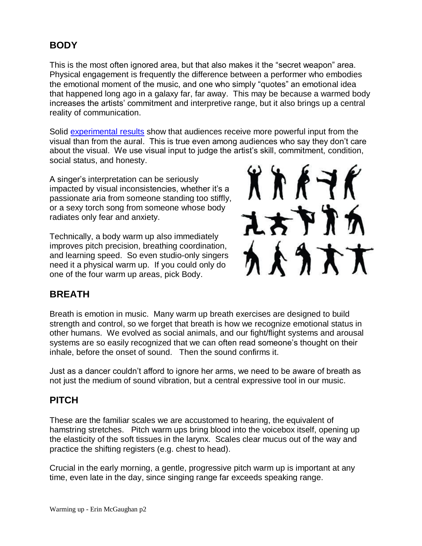# **BODY**

This is the most often ignored area, but that also makes it the "secret weapon" area. Physical engagement is frequently the difference between a performer who embodies the emotional moment of the music, and one who simply "quotes" an emotional idea that happened long ago in a galaxy far, far away. This may be because a warmed body increases the artists' commitment and interpretive range, but it also brings up a central reality of communication.

Solid [experimental results](http://www.livescience.com/38978-music-judged-by-sight-not-sound.html) show that audiences receive more powerful input from the visual than from the aural. This is true even among audiences who say they don't care about the visual. We use visual input to judge the artist's skill, commitment, condition, social status, and honesty.

A singer's interpretation can be seriously impacted by visual inconsistencies, whether it's a passionate aria from someone standing too stiffly, or a sexy torch song from someone whose body radiates only fear and anxiety.

Technically, a body warm up also immediately improves pitch precision, breathing coordination, and learning speed. So even studio-only singers need it a physical warm up. If you could only do one of the four warm up areas, pick Body.



# **BREATH**

Breath is emotion in music. Many warm up breath exercises are designed to build strength and control, so we forget that breath is how we recognize emotional status in other humans. We evolved as social animals, and our fight/flight systems and arousal systems are so easily recognized that we can often read someone's thought on their inhale, before the onset of sound. Then the sound confirms it.

Just as a dancer couldn't afford to ignore her arms, we need to be aware of breath as not just the medium of sound vibration, but a central expressive tool in our music.

# **PITCH**

These are the familiar scales we are accustomed to hearing, the equivalent of hamstring stretches. Pitch warm ups bring blood into the voicebox itself, opening up the elasticity of the soft tissues in the larynx. Scales clear mucus out of the way and practice the shifting registers (e.g. chest to head).

Crucial in the early morning, a gentle, progressive pitch warm up is important at any time, even late in the day, since singing range far exceeds speaking range.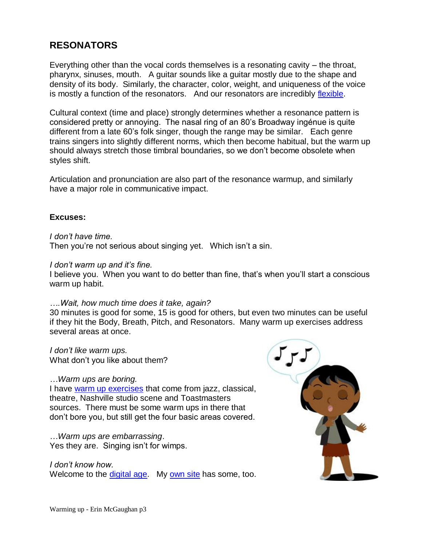# **RESONATORS**

Everything other than the vocal cords themselves is a resonating cavity – the throat, pharynx, sinuses, mouth. A guitar sounds like a guitar mostly due to the shape and density of its body. Similarly, the character, color, weight, and uniqueness of the voice is mostly a function of the resonators. And our resonators are incredibly [flexible.](https://www.youtube.com/watch?v=_964dqQxQwY)

Cultural context (time and place) strongly determines whether a resonance pattern is considered pretty or annoying. The nasal ring of an 80's Broadway ingénue is quite different from a late 60's folk singer, though the range may be similar. Each genre trains singers into slightly different norms, which then become habitual, but the warm up should always stretch those timbral boundaries, so we don't become obsolete when styles shift.

Articulation and pronunciation are also part of the resonance warmup, and similarly have a major role in communicative impact.

## **Excuses:**

*I don't have time.* 

Then you're not serious about singing yet. Which isn't a sin.

#### *I don't warm up and it's fine.*

I believe you. When you want to do better than fine, that's when you'll start a conscious warm up habit.

#### *….Wait, how much time does it take, again?*

30 minutes is good for some, 15 is good for others, but even two minutes can be useful if they hit the Body, Breath, Pitch, and Resonators. Many warm up exercises address several areas at once.

*I don't like warm ups.* What don't you like about them?

#### *…Warm ups are boring.*

I have [warm up exercises](http://www.erinmcgaughan.com/resources.html) that come from jazz, classical, theatre, Nashville studio scene and Toastmasters sources. There must be some warm ups in there that don't bore you, but still get the four basic areas covered.

*…Warm ups are embarrassing*. Yes they are. Singing isn't for wimps.

*I don't know how.* Welcome to the [digital age.](https://www.youtube.com/results?search_query=vocal+warm+ups&spfreload=1) My [own site](http://www.erinmcgaughan.com/resources.html) has some, too.